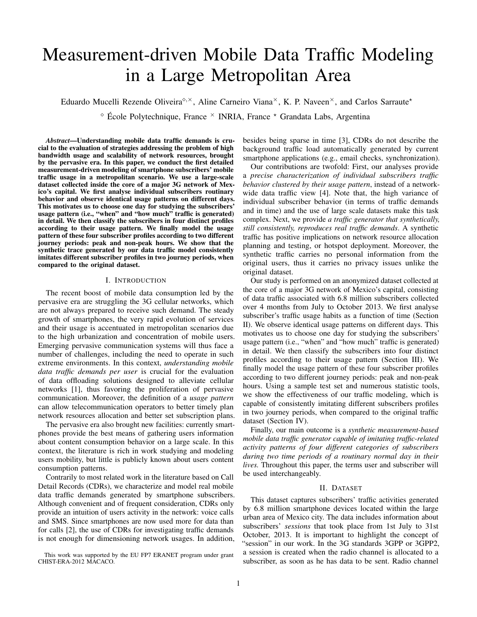# Measurement-driven Mobile Data Traffic Modeling in a Large Metropolitan Area

Eduardo Mucelli Rezende Oliveira<sup> $\diamond, \times$ </sup>, Aline Carneiro Viana<sup> $\times$ </sup>, K. P. Naveen $\times$ , and Carlos Sarraute<sup>\*</sup>

 $\degree$  École Polytechnique, France  $\times$  INRIA, France  $\times$  Grandata Labs, Argentina

*Abstract*—Understanding mobile data traffic demands is crucial to the evaluation of strategies addressing the problem of high bandwidth usage and scalability of network resources, brought by the pervasive era. In this paper, we conduct the first detailed measurement-driven modeling of smartphone subscribers' mobile traffic usage in a metropolitan scenario. We use a large-scale dataset collected inside the core of a major 3G network of Mexico's capital. We first analyse individual subscribers routinary behavior and observe identical usage patterns on different days. This motivates us to choose one day for studying the subscribers' usage pattern (i.e., "when" and "how much" traffic is generated) in detail. We then classify the subscribers in four distinct profiles according to their usage pattern. We finally model the usage pattern of these four subscriber profiles according to two different journey periods: peak and non-peak hours. We show that the synthetic trace generated by our data traffic model consistently imitates different subscriber profiles in two journey periods, when compared to the original dataset.

#### I. INTRODUCTION

The recent boost of mobile data consumption led by the pervasive era are struggling the 3G cellular networks, which are not always prepared to receive such demand. The steady growth of smartphones, the very rapid evolution of services and their usage is accentuated in metropolitan scenarios due to the high urbanization and concentration of mobile users. Emerging pervasive communication systems will thus face a number of challenges, including the need to operate in such extreme environments. In this context, *understanding mobile data traffic demands per user* is crucial for the evaluation of data offloading solutions designed to alleviate cellular networks [1], thus favoring the proliferation of pervasive communication. Moreover, the definition of a *usage pattern* can allow telecommunication operators to better timely plan network resources allocation and better set subscription plans.

The pervasive era also brought new facilities: currently smartphones provide the best means of gathering users information about content consumption behavior on a large scale. In this context, the literature is rich in work studying and modeling users mobility, but little is publicly known about users content consumption patterns.

Contrarily to most related work in the literature based on Call Detail Records (CDRs), we characterize and model real mobile data traffic demands generated by smartphone subscribers. Although convenient and of frequent consideration, CDRs only provide an intuition of users activity in the network: voice calls and SMS. Since smartphones are now used more for data than for calls [2], the use of CDRs for investigating traffic demands is not enough for dimensioning network usages. In addition,

This work was supported by the EU FP7 ERANET program under grant CHIST-ERA-2012 MACACO.

besides being sparse in time [3], CDRs do not describe the background traffic load automatically generated by current smartphone applications (e.g., email checks, synchronization).

Our contributions are twofold: First, our analyses provide a *precise characterization of individual subscribers traffic behavior clustered by their usage pattern*, instead of a networkwide data traffic view [4]. Note that, the high variance of individual subscriber behavior (in terms of traffic demands and in time) and the use of large scale datasets make this task complex. Next, we provide *a traffic generator that synthetically, still consistently, reproduces real traffic demands*. A synthetic traffic has positive implications on network resource allocation planning and testing, or hotspot deployment. Moreover, the synthetic traffic carries no personal information from the original users, thus it carries no privacy issues unlike the original dataset.

Our study is performed on an anonymized dataset collected at the core of a major 3G network of Mexico's capital, consisting of data traffic associated with 6.8 million subscribers collected over 4 months from July to October 2013. We first analyse subscriber's traffic usage habits as a function of time (Section II). We observe identical usage patterns on different days. This motivates us to choose one day for studying the subscribers' usage pattern (i.e., "when" and "how much" traffic is generated) in detail. We then classify the subscribers into four distinct profiles according to their usage pattern (Section III). We finally model the usage pattern of these four subscriber profiles according to two different journey periods: peak and non-peak hours. Using a sample test set and numerous statistic tools, we show the effectiveness of our traffic modeling, which is capable of consistently imitating different subscribers profiles in two journey periods, when compared to the original traffic dataset (Section IV).

Finally, our main outcome is a *synthetic measurement-based mobile data traffic generator capable of imitating traffic-related activity patterns of four different categories of subscribers during two time periods of a routinary normal day in their lives.* Throughout this paper, the terms user and subscriber will be used interchangeably.

# II. DATASET

This dataset captures subscribers' traffic activities generated by 6.8 million smartphone devices located within the large urban area of Mexico city. The data includes information about subscribers' *sessions* that took place from 1st July to 31st October, 2013. It is important to highlight the concept of "session" in our work. In the 3G standards 3GPP or 3GPP2, a session is created when the radio channel is allocated to a subscriber, as soon as he has data to be sent. Radio channel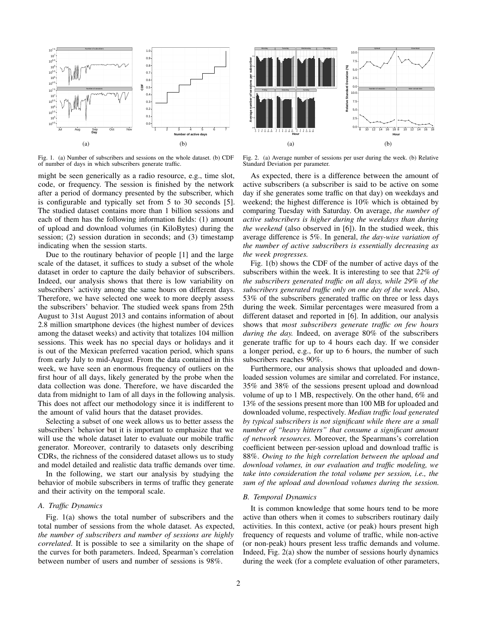

Fig. 1. (a) Number of subscribers and sessions on the whole dataset. (b) CDF of number of days in which subscribers generate traffic.

might be seen generically as a radio resource, e.g., time slot, code, or frequency. The session is finished by the network after a period of dormancy presented by the subscriber, which is configurable and typically set from 5 to 30 seconds [5]. The studied dataset contains more than 1 billion sessions and each of them has the following information fields: (1) amount of upload and download volumes (in KiloBytes) during the session; (2) session duration in seconds; and (3) timestamp indicating when the session starts.

Due to the routinary behavior of people [1] and the large scale of the dataset, it suffices to study a subset of the whole dataset in order to capture the daily behavior of subscribers. Indeed, our analysis shows that there is low variability on subscribers' activity among the same hours on different days. Therefore, we have selected one week to more deeply assess the subscribers' behavior. The studied week spans from 25th August to 31st August 2013 and contains information of about 2.8 million smartphone devices (the highest number of devices among the dataset weeks) and activity that totalizes 104 million sessions. This week has no special days or holidays and it is out of the Mexican preferred vacation period, which spans from early July to mid-August. From the data contained in this week, we have seen an enormous frequency of outliers on the first hour of all days, likely generated by the probe when the data collection was done. Therefore, we have discarded the data from midnight to 1am of all days in the following analysis. This does not affect our methodology since it is indifferent to the amount of valid hours that the dataset provides.

Selecting a subset of one week allows us to better assess the subscribers' behavior but it is important to emphasize that we will use the whole dataset later to evaluate our mobile traffic generator. Moreover, contrarily to datasets only describing CDRs, the richness of the considered dataset allows us to study and model detailed and realistic data traffic demands over time.

In the following, we start our analysis by studying the behavior of mobile subscribers in terms of traffic they generate and their activity on the temporal scale.

# *A. Traffic Dynamics*

Fig. 1(a) shows the total number of subscribers and the total number of sessions from the whole dataset. As expected, *the number of subscribers and number of sessions are highly correlated*. It is possible to see a similarity on the shape of the curves for both parameters. Indeed, Spearman's correlation between number of users and number of sessions is 98%.



Fig. 2. (a) Average number of sessions per user during the week. (b) Relative Standard Deviation per parameter.

As expected, there is a difference between the amount of active subscribers (a subscriber is said to be active on some day if she generates some traffic on that day) on weekdays and weekend; the highest difference is 10% which is obtained by comparing Tuesday with Saturday. On average, *the number of active subscribers is higher during the weekdays than during the weekend* (also observed in [6]). In the studied week, this average difference is 5%. In general, *the day-wise variation of the number of active subscribers is essentially decreasing as the week progresses.*

Fig. 1(b) shows the CDF of the number of active days of the subscribers within the week. It is interesting to see that *22% of the subscribers generated traffic on all days, while 29% of the subscribers generated traffic only on one day of the week.* Also, 53% of the subscribers generated traffic on three or less days during the week. Similar percentages were measured from a different dataset and reported in [6]. In addition, our analysis shows that *most subscribers generate traffic on few hours during the day.* Indeed, on average 80% of the subscribers generate traffic for up to 4 hours each day. If we consider a longer period, e.g., for up to 6 hours, the number of such subscribers reaches 90%.

Furthermore, our analysis shows that uploaded and downloaded session volumes are similar and correlated. For instance, 35% and 38% of the sessions present upload and download volume of up to 1 MB, respectively. On the other hand, 6% and 13% of the sessions present more than 100 MB for uploaded and downloaded volume, respectively. *Median traffic load generated by typical subscribers is not significant while there are a small number of "heavy hitters" that consume a significant amount of network resources.* Moreover, the Spearmans's correlation coefficient between per-session upload and download traffic is 88%. *Owing to the high correlation between the upload and download volumes, in our evaluation and traffic modeling, we take into consideration the total volume per session, i.e., the sum of the upload and download volumes during the session.*

# *B. Temporal Dynamics*

It is common knowledge that some hours tend to be more active than others when it comes to subscribers routinary daily activities. In this context, active (or peak) hours present high frequency of requests and volume of traffic, while non-active (or non-peak) hours present less traffic demands and volume. Indeed, Fig. 2(a) show the number of sessions hourly dynamics during the week (for a complete evaluation of other parameters,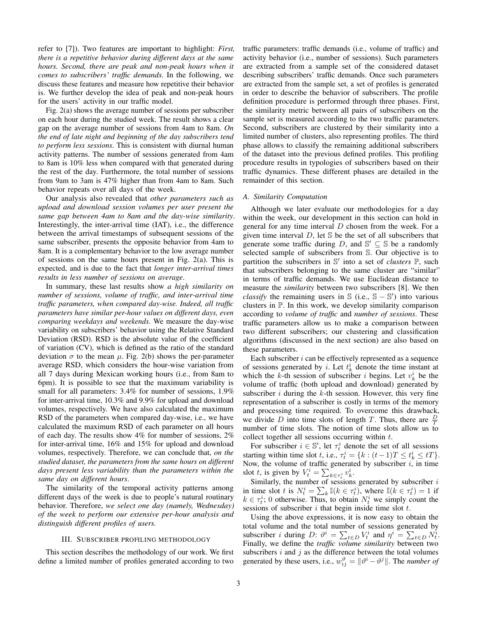refer to [7]). Two features are important to highlight: *First, there is a repetitive behavior during different days at the same hours. Second, there are peak and non-peak hours when it comes to subscribers' traffic demands.* In the following, we discuss these features and measure how repetitive their behavior is. We further develop the idea of peak and non-peak hours for the users' activity in our traffic model.

Fig. 2(a) shows the average number of sessions per subscriber on each hour during the studied week. The result shows a clear gap on the average number of sessions from 4am to 8am. *On the end of late night and beginning of the day subscribers tend to perform less sessions*. This is consistent with diurnal human activity patterns. The number of sessions generated from 4am to 8am is 10% less when compared with that generated during the rest of the day. Furthermore, the total number of sessions from 9am to 3am is 47% higher than from 4am to 8am. Such behavior repeats over all days of the week.

Our analysis also revealed that *other parameters such as upload and download session volumes per user present the same gap between 4am to 8am and the day-wise similarity*. Interestingly, the inter-arrival time (IAT), i.e., the difference between the arrival timestamps of subsequent sessions of the same subscriber, presents the opposite behavior from 4am to 8am. It is a complementary behavior to the low average number of sessions on the same hours present in Fig. 2(a). This is expected, and is due to the fact that *longer inter-arrival times results in less number of sessions on average*.

In summary, these last results show *a high similarity on number of sessions, volume of traffic, and inter-arrival time traffic parameters, when compared day-wise. Indeed, all traffic parameters have similar per-hour values on different days, even comparing weekdays and weekends*. We measure the day-wise variability on subscribers' behavior using the Relative Standard Deviation (RSD). RSD is the absolute value of the coefficient of variation (CV), which is defined as the ratio of the standard deviation  $\sigma$  to the mean  $\mu$ . Fig. 2(b) shows the per-parameter average RSD, which considers the hour-wise variation from all 7 days during Mexican working hours (i.e., from 8am to 6pm). It is possible to see that the maximum variability is small for all parameters: 3.4% for number of sessions, 1.9% for inter-arrival time, 10.3% and 9.9% for upload and download volumes, respectively. We have also calculated the maximum RSD of the parameters when compared day-wise, i.e., we have calculated the maximum RSD of each parameter on all hours of each day. The results show 4% for number of sessions, 2% for inter-arrival time, 16% and 15% for upload and download volumes, respectively. Therefore, we can conclude that, *on the studied dataset, the parameters from the same hours on different days present less variability than the parameters within the same day on different hours*.

The similarity of the temporal activity patterns among different days of the week is due to people's natural routinary behavior. Therefore, *we select one day (namely, Wednesday) of the week to perform our extensive per-hour analysis and distinguish different profiles of users.*

## III. SUBSCRIBER PROFILING METHODOLOGY

This section describes the methodology of our work. We first define a limited number of profiles generated according to two traffic parameters: traffic demands (i.e., volume of traffic) and activity behavior (i.e., number of sessions). Such parameters are extracted from a sample set of the considered dataset describing subscribers' traffic demands. Once such parameters are extracted from the sample set, a set of profiles is generated in order to describe the behavior of subscribers. The profile definition procedure is performed through three phases. First, the similarity metric between all pairs of subscribers on the sample set is measured according to the two traffic parameters. Second, subscribers are clustered by their similarity into a limited number of clusters, also representing profiles. The third phase allows to classify the remaining additional subscribers of the dataset into the previous defined profiles. This profiling procedure results in typologies of subscribers based on their traffic dynamics. These different phases are detailed in the remainder of this section.

#### *A. Similarity Computation*

Although we later evaluate our methodologies for a day within the week, our development in this section can hold in general for any time interval  $D$  chosen from the week. For a given time interval  $D$ , let  $S$  be the set of all subscribers that generate some traffic during D, and  $\mathbb{S}' \subseteq \mathbb{S}$  be a randomly selected sample of subscribers from S. Our objective is to partition the subscribers in S' into a set of *clusters* P, such that subscribers belonging to the same cluster are "similar" in terms of traffic demands. We use Euclidean distance to measure the *similarity* between two subscribers [8]. We then *classify* the remaining users in  $\Im$  (i.e.,  $\Im - \Im'$ ) into various clusters in P. In this work, we develop similarity comparison according to *volume of traffic* and *number of sessions*. These traffic parameters allow us to make a comparison between two different subscribers; our clustering and classification algorithms (discussed in the next section) are also based on these parameters.

Each subscriber  $i$  can be effectively represented as a sequence of sessions generated by i. Let  $t_k^i$  denote the time instant at which the k-th session of subscriber *i* begins. Let  $v_k^i$  be the volume of traffic (both upload and download) generated by subscriber  $i$  during the  $k$ -th session. However, this very fine representation of a subscriber is costly in terms of the memory and processing time required. To overcome this drawback, we divide D into time slots of length T. Thus, there are  $\frac{D}{T}$ number of time slots. The notion of time slots allow us to collect together all sessions occurring within  $t$ .

For subscriber  $i \in \mathbb{S}'$ , let  $\tau_t^i$  denote the set of all sessions starting within time slot t, i.e.,  $\tau_t^i = \{k : (t-1)T \le t_k^i \le tT\}.$ Now, the volume of traffic generated by subscriber  $i$ , in time slot t, is given by  $V_t^i = \sum_{k \in \tau_t^i} v_k^i$ .

Similarly, the number of sessions generated by subscriber  $i$ in time slot t is  $N_t^i = \sum_k \mathbb{I}(k \in \tau_t^i)$ , where  $\mathbb{I}(k \in \tau_t^i) = 1$  if  $k \in \tau_t^i$ ; 0 otherwise. Thus, to obtain  $N_t^i$  we simply count the sessions of subscriber  $i$  that begin inside time slot  $t$ .

Using the above expressions, it is now easy to obtain the total volume and the total number of sessions generated by subscriber *i* during  $D: \vartheta^i = \sum_{t \in D} V_t^i$  and  $\eta^i = \sum_{t \in D} N_t^i$ . Finally, we define the *traffic volume similarity* between two subscribers  $i$  and  $j$  as the difference between the total volumes generated by these users, i.e.,  $w_{ij}^{\vartheta} = ||\vartheta^{i} - \vartheta^{j}||$ . The *number of*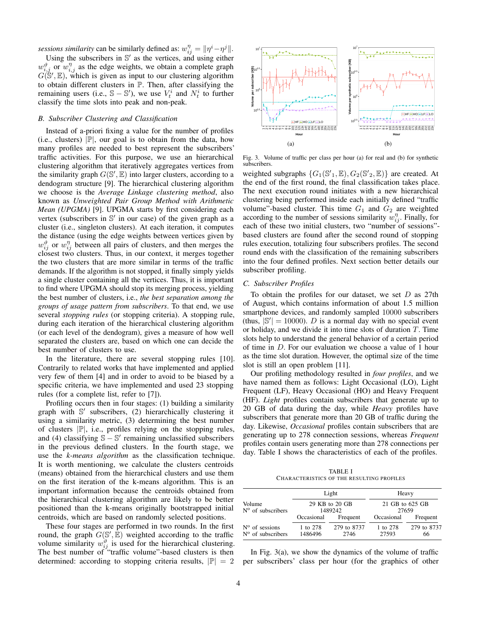*sessions similarity* can be similarly defined as:  $w_{ij}^{\eta} = ||\eta^i - \eta^j||$ .

Using the subscribers in  $\mathbb{S}'$  as the vertices, and using either  $w_{i,j}^{\vartheta}$  or  $w_{i,j}^{\eta}$  as the edge weights, we obtain a complete graph  $G(S', \mathbb{E})$ , which is given as input to our clustering algorithm to obtain different clusters in P. Then, after classifying the remaining users (i.e.,  $\mathbb{S} - \mathbb{S}'$ ), we use  $V_t^i$  and  $N_t^i$  to further classify the time slots into peak and non-peak.

# *B. Subscriber Clustering and Classification*

Instead of a-priori fixing a value for the number of profiles (i.e., clusters)  $|\mathbb{P}|$ , our goal is to obtain from the data, how many profiles are needed to best represent the subscribers' traffic activities. For this purpose, we use an hierarchical clustering algorithm that iteratively aggregates vertices from the similarity graph  $G(S', \mathbb{E})$  into larger clusters, according to a dendogram structure [9]. The hierarchical clustering algorithm we choose is the *Average Linkage clustering method*, also known as *Unweighted Pair Group Method with Arithmetic Mean (UPGMA)* [9]. UPGMA starts by first considering each vertex (subscribers in S' in our case) of the given graph as a cluster (i.e., singleton clusters). At each iteration, it computes the distance (using the edge weights between vertices given by  $w_{ij}^{\vartheta}$  or  $w_{ij}^{\eta}$  between all pairs of clusters, and then merges the closest two clusters. Thus, in our context, it merges together the two clusters that are more similar in terms of the traffic demands. If the algorithm is not stopped, it finally simply yields a single cluster containing all the vertices. Thus, it is important to find where UPGMA should stop its merging process, yielding the best number of clusters, i.e., *the best separation among the groups of usage pattern from subscribers*. To that end, we use several *stopping rules* (or stopping criteria). A stopping rule, during each iteration of the hierarchical clustering algorithm (or each level of the dendogram), gives a measure of how well separated the clusters are, based on which one can decide the best number of clusters to use.

In the literature, there are several stopping rules [10]. Contrarily to related works that have implemented and applied very few of them [4] and in order to avoid to be biased by a specific criteria, we have implemented and used 23 stopping rules (for a complete list, refer to [7]).

Profiling occurs then in four stages: (1) building a similarity graph with S' subscribers, (2) hierarchically clustering it using a similarity metric, (3) determining the best number of clusters  $|\mathbb{P}|$ , i.e., profiles relying on the stopping rules, and (4) classifying  $S - S'$  remaining unclassified subscribers in the previous defined clusters. In the fourth stage, we use the *k-means algorithm* as the classification technique. It is worth mentioning, we calculate the clusters centroids (means) obtained from the hierarchical clusters and use them on the first iteration of the k-means algorithm. This is an important information because the centroids obtained from the hierarchical clustering algorithm are likely to be better positioned than the k-means originally bootstrapped initial centroids, which are based on randomly selected positions.

These four stages are performed in two rounds. In the first round, the graph  $G(S', \mathbb{E})$  weighted according to the traffic volume similarity  $w_{ij}^{\vartheta}$  is used for the hierarchical clustering. The best number of "traffic volume"-based clusters is then determined: according to stopping criteria results,  $|\mathbb{P}| = 2$ 



Fig. 3. Volume of traffic per class per hour (a) for real and (b) for synthetic subscribers.

weighted subgraphs  $\{G_1(\mathbb{S}', \mathbb{E}), G_2(\mathbb{S}', \mathbb{E})\}$  are created. At the end of the first round, the final classification takes place. The next execution round initiates with a new hierarchical clustering being performed inside each initially defined "traffic volume"-based cluster. This time  $G_1$  and  $G_2$  are weighted according to the number of sessions similarity  $w_{ij}^{\eta}$ . Finally, for each of these two initial clusters, two "number of sessions" based clusters are found after the second round of stopping rules execution, totalizing four subscribers profiles. The second round ends with the classification of the remaining subscribers into the four defined profiles. Next section better details our subscriber profiling.

#### *C. Subscriber Profiles*

To obtain the profiles for our dataset, we set  $D$  as 27th of August, which contains information of about 1.5 million smartphone devices, and randomly sampled 10000 subscribers (thus,  $|\mathbb{S}'| = 10000$ ). *D* is a normal day with no special event or holiday, and we divide it into time slots of duration  $T$ . Time slots help to understand the general behavior of a certain period of time in D. For our evaluation we choose a value of 1 hour as the time slot duration. However, the optimal size of the time slot is still an open problem [11].

Our profiling methodology resulted in *four profiles*, and we have named them as follows: Light Occasional (LO), Light Frequent (LF), Heavy Occasional (HO) and Heavy Frequent (HF). *Light* profiles contain subscribers that generate up to 20 GB of data during the day, while *Heavy* profiles have subscribers that generate more than 20 GB of traffic during the day. Likewise, *Occasional* profiles contain subscribers that are generating up to 278 connection sessions, whereas *Frequent* profiles contain users generating more than 278 connections per day. Table I shows the characteristics of each of the profiles.

TABLE I CHARACTERISTICS OF THE RESULTING PROFILES

|                                                       | Light<br>29 KB to 20 GB<br>1489242 |                     | Heavy<br>21 GB to 625 GB<br>27659 |                   |
|-------------------------------------------------------|------------------------------------|---------------------|-----------------------------------|-------------------|
| Volume<br>$N^{\rm o}$ of subscribers                  |                                    |                     |                                   |                   |
|                                                       | Occasional                         | Frequent            | Occasional                        | Frequent          |
| $N^{\rm o}$ of sessions<br>$N^{\circ}$ of subscribers | 1 to 278<br>1486496                | 279 to 8737<br>2746 | 1 to 278<br>27593                 | 279 to 8737<br>66 |

In Fig.  $3(a)$ , we show the dynamics of the volume of traffic per subscribers' class per hour (for the graphics of other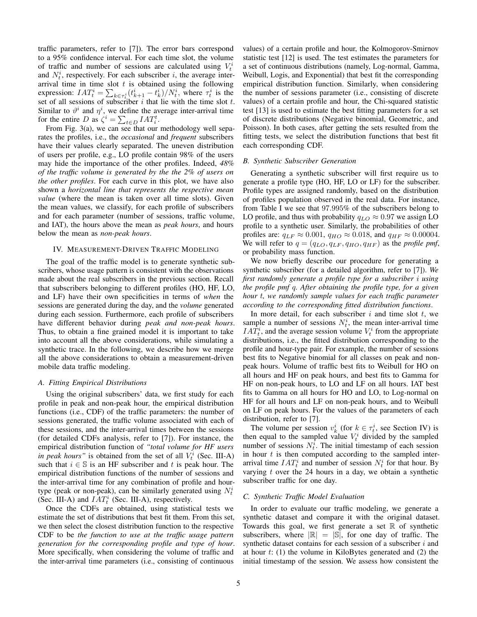traffic parameters, refer to [7]). The error bars correspond to a 95% confidence interval. For each time slot, the volume of traffic and number of sessions are calculated using  $V_t^i$ and  $N_t^i$ , respectively. For each subscriber i, the average interarrival time in time slot  $t$  is obtained using the following expression:  $IAT_t^i = \sum_{k \in \tau_t^i} (t_{k+1}^i - t_k^i)/N_t^i$ , where  $\tau_t^i$  is the set of all sessions of subscriber  $i$  that lie with the time slot  $t$ . Similar to  $\vartheta^i$  and  $\eta^i$ , we define the average inter-arrival time for the entire D as  $\zeta^i = \sum_{t \in D} IAT_i^t$ .

From Fig. 3(a), we can see that our methodology well separates the profiles, i.e., the *occasional* and *frequent* subscribers have their values clearly separated. The uneven distribution of users per profile, e.g., LO profile contain 98% of the users may hide the importance of the other profiles. Indeed, *48% of the traffic volume is generated by the the 2% of users on the other profiles*. For each curve in this plot, we have also shown a *horizontal line that represents the respective mean value* (where the mean is taken over all time slots). Given the mean values, we classify, for each profile of subscribers and for each parameter (number of sessions, traffic volume, and IAT), the hours above the mean as *peak hours*, and hours below the mean as *non-peak hours*.

# IV. MEASUREMENT-DRIVEN TRAFFIC MODELING

The goal of the traffic model is to generate synthetic subscribers, whose usage pattern is consistent with the observations made about the real subscribers in the previous section. Recall that subscribers belonging to different profiles (HO, HF, LO, and LF) have their own specificities in terms of *when* the sessions are generated during the day, and the *volume* generated during each session. Furthermore, each profile of subscribers have different behavior during *peak and non-peak hours*. Thus, to obtain a fine grained model it is important to take into account all the above considerations, while simulating a synthetic trace. In the following, we describe how we merge all the above considerations to obtain a measurement-driven mobile data traffic modeling.

#### *A. Fitting Empirical Distributions*

Using the original subscribers' data, we first study for each profile in peak and non-peak hour, the empirical distribution functions (i.e., CDF) of the traffic parameters: the number of sessions generated, the traffic volume associated with each of these sessions, and the inter-arrival times between the sessions (for detailed CDFs analysis, refer to [7]). For instance, the empirical distribution function of *"total volume for HF users in peak hours*" is obtained from the set of all  $V_t^i$  (Sec. III-A) such that  $i \in \mathbb{S}$  is an HF subscriber and t is peak hour. The empirical distribution functions of the number of sessions and the inter-arrival time for any combination of profile and hourtype (peak or non-peak), can be similarly generated using  $N_t^i$ (Sec. III-A) and  $IAT_t^i$  (Sec. III-A), respectively.

Once the CDFs are obtained, using statistical tests we estimate the set of distributions that best fit them. From this set, we then select the closest distribution function to the respective CDF to be *the function to use at the traffic usage pattern generation for the corresponding profile and type of hour*. More specifically, when considering the volume of traffic and the inter-arrival time parameters (i.e., consisting of continuous

values) of a certain profile and hour, the Kolmogorov-Smirnov statistic test [12] is used. The test estimates the parameters for a set of continuous distributions (namely, Log-normal, Gamma, Weibull, Logis, and Exponential) that best fit the corresponding empirical distribution function. Similarly, when considering the number of sessions parameter (i.e., consisting of discrete values) of a certain profile and hour, the Chi-squared statistic test [13] is used to estimate the best fitting parameters for a set of discrete distributions (Negative binomial, Geometric, and Poisson). In both cases, after getting the sets resulted from the fitting tests, we select the distribution functions that best fit each corresponding CDF.

### *B. Synthetic Subscriber Generation*

Generating a synthetic subscriber will first require us to generate a profile type (HO, HF, LO or LF) for the subscriber. Profile types are assigned randomly, based on the distribution of profiles population observed in the real data. For instance, from Table I we see that 97.995% of the subscribers belong to LO profile, and thus with probability  $q_{LO} \approx 0.97$  we assign LO profile to a synthetic user. Similarly, the probabilities of other profiles are:  $q_{LF} \approx 0.001$ ,  $q_{HO} \approx 0.018$ , and  $q_{HF} \approx 0.00004$ . We will refer to  $q = (q_{LO}, q_{LF}, q_{HO}, q_{HF})$  as the *profile pmf*, or probability mass function.

We now briefly describe our procedure for generating a synthetic subscriber (for a detailed algorithm, refer to [7]). *We first randomly generate a profile type for a subscriber* i *using the profile pmf* q*. After obtaining the profile type, for a given hour* t*, we randomly sample values for each traffic parameter according to the corresponding fitted distribution functions*.

In more detail, for each subscriber  $i$  and time slot  $t$ , we sample a number of sessions  $N_t^i$ , the mean inter-arrival time  $IAT_t^i$ , and the average session volume  $V_t^i$  from the appropriate distributions, i.e., the fitted distribution corresponding to the profile and hour-type pair. For example, the number of sessions best fits to Negative binomial for all classes on peak and nonpeak hours. Volume of traffic best fits to Weibull for HO on all hours and HF on peak hours, and best fits to Gamma for HF on non-peak hours, to LO and LF on all hours. IAT best fits to Gamma on all hours for HO and LO, to Log-normal on HF for all hours and LF on non-peak hours, and to Weibull on LF on peak hours. For the values of the parameters of each distribution, refer to [7].

The volume per session  $v_k^i$  (for  $k \in \tau_t^i$ , see Section IV) is then equal to the sampled value  $V_t^i$  divided by the sampled number of sessions  $N_t^{\bar{i}}$ . The initial timestamp of each session in hour  $t$  is then computed according to the sampled interarrival time  $IAT_t^i$  and number of session  $N_t^i$  for that hour. By varying  $t$  over the 24 hours in a day, we obtain a synthetic subscriber traffic for one day.

# *C. Synthetic Traffic Model Evaluation*

In order to evaluate our traffic modeling, we generate a synthetic dataset and compare it with the original dataset. Towards this goal, we first generate a set  $\mathbb R$  of synthetic subscribers, where  $|\mathbb{R}| = |\mathbb{S}|$ , for one day of traffic. The synthetic dataset contains for each session of a subscriber  $i$  and at hour  $t: (1)$  the volume in KiloBytes generated and  $(2)$  the initial timestamp of the session. We assess how consistent the